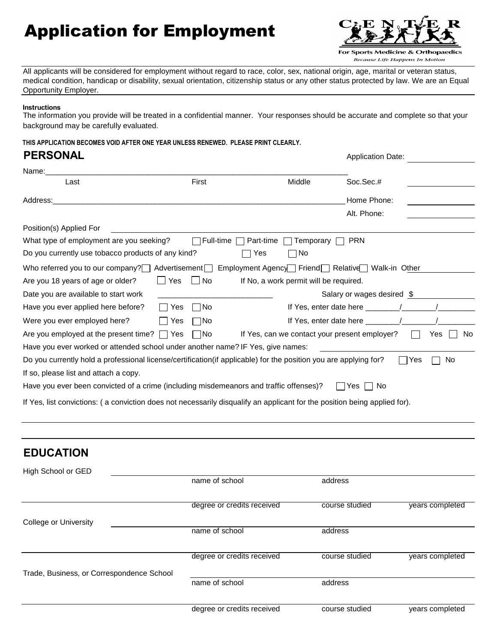# Application for Employment



Because Life Happens In Motion

All applicants will be considered for employment without regard to race, color, sex, national origin, age, marital or veteran status, medical condition, handicap or disability, sexual orientation, citizenship status or any other status protected by law. We are an Equal Opportunity Employer.

#### **Instructions**

The information you provide will be treated in a confidential manner. Your responses should be accurate and complete so that your background may be carefully evaluated.

**THIS APPLICATION BECOMES VOID AFTER ONE YEAR UNLESS RENEWED. PLEASE PRINT CLEARLY.**

#### **PERSONAL** Application Date:

| Name:                                                                                                                     |       |           |           |                                               |                                                               |     |            |
|---------------------------------------------------------------------------------------------------------------------------|-------|-----------|-----------|-----------------------------------------------|---------------------------------------------------------------|-----|------------|
| Last                                                                                                                      |       | First     |           | Middle                                        | Soc.Sec.#                                                     |     |            |
| Address:                                                                                                                  |       |           |           |                                               | Home Phone:                                                   |     |            |
|                                                                                                                           |       |           |           |                                               | Alt. Phone:                                                   |     |            |
| Position(s) Applied For                                                                                                   |       |           |           |                                               |                                                               |     |            |
| What type of employment are you seeking?                                                                                  |       | Full-time | Part-time | Temporary                                     | <b>PRN</b>                                                    |     |            |
| Do you currently use tobacco products of any kind?                                                                        |       |           | Yes       | No                                            |                                                               |     |            |
| Who referred you to our company? $\Box$                                                                                   |       |           |           |                                               | Advertisement Employment Agency Friend Relative Walk-in Other |     |            |
| Are you 18 years of age or older?                                                                                         | ∐ Yes | $\Box$ No |           | If No, a work permit will be required.        |                                                               |     |            |
| Date you are available to start work                                                                                      |       |           |           |                                               | Salary or wages desired \$                                    |     |            |
| Have you ever applied here before?                                                                                        | Yes   | – I No    |           | If Yes, enter date here ____                  |                                                               |     |            |
| Were you ever employed here?                                                                                              | Yes   | ∏No       |           |                                               | If Yes, enter date here $\frac{\ }{\ }$                       |     |            |
| Are you employed at the present time? $\Box$ Yes                                                                          |       | □No       |           | If Yes, can we contact your present employer? |                                                               |     | No.<br>Yes |
| Have you ever worked or attended school under another name? IF Yes, give names:                                           |       |           |           |                                               |                                                               |     |            |
| Do you currently hold a professional license/certification(if applicable) for the position you are applying for?          |       |           |           |                                               |                                                               | Yes | No         |
| If so, please list and attach a copy.                                                                                     |       |           |           |                                               |                                                               |     |            |
| Have you ever been convicted of a crime (including misdemeanors and traffic offenses)?                                    |       |           |           |                                               | Yes.<br>No.                                                   |     |            |
| If Yes, list convictions: (a conviction does not necessarily disqualify an applicant for the position being applied for). |       |           |           |                                               |                                                               |     |            |

| <b>EDUCATION</b>                          |                            |                |                 |
|-------------------------------------------|----------------------------|----------------|-----------------|
| High School or GED                        |                            |                |                 |
|                                           | name of school             | address        |                 |
|                                           | degree or credits received | course studied | years completed |
| <b>College or University</b>              |                            |                |                 |
|                                           | name of school             | address        |                 |
|                                           | degree or credits received | course studied | years completed |
|                                           |                            |                |                 |
| Trade, Business, or Correspondence School |                            |                |                 |
|                                           | name of school             | address        |                 |
|                                           |                            |                |                 |
|                                           | degree or credits received | course studied | years completed |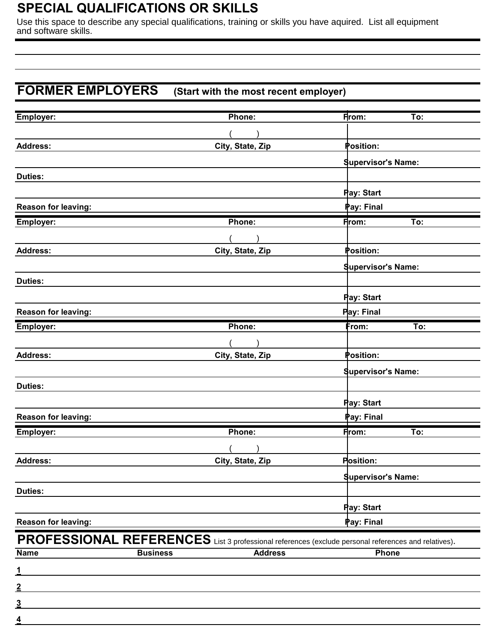## **SPECIAL QUALIFICATIONS OR SKILLS**

Use this space to describe any special qualifications, training or skills you have aquired. List all equipment and software skills.

#### **FORMER EMPLOYERS (Start with the most recent employer)**

| Employer:                  |                 | Phone:           | From:<br>To:                                                                                        |  |
|----------------------------|-----------------|------------------|-----------------------------------------------------------------------------------------------------|--|
|                            |                 |                  |                                                                                                     |  |
| <b>Address:</b>            |                 | City, State, Zip | Position:                                                                                           |  |
|                            |                 |                  | <b>Supervisor's Name:</b>                                                                           |  |
| <b>Duties:</b>             |                 |                  |                                                                                                     |  |
|                            |                 |                  | Pay: Start                                                                                          |  |
| Reason for leaving:        |                 |                  | Pay: Final                                                                                          |  |
| Employer:                  |                 | Phone:           | <b>From:</b><br>To:                                                                                 |  |
|                            |                 |                  |                                                                                                     |  |
| <b>Address:</b>            |                 | City, State, Zip | Position:                                                                                           |  |
|                            |                 |                  | <b>Supervisor's Name:</b>                                                                           |  |
| <b>Duties:</b>             |                 |                  |                                                                                                     |  |
|                            |                 |                  | <b>Pay: Start</b>                                                                                   |  |
| <b>Reason for leaving:</b> |                 |                  | <b>Pay: Final</b>                                                                                   |  |
| Employer:                  |                 | Phone:           | From:<br>To:                                                                                        |  |
|                            |                 |                  |                                                                                                     |  |
| <b>Address:</b>            |                 | City, State, Zip | Position:                                                                                           |  |
|                            |                 |                  | <b>Supervisor's Name:</b>                                                                           |  |
| <b>Duties:</b>             |                 |                  |                                                                                                     |  |
|                            |                 |                  | Pay: Start                                                                                          |  |
| Reason for leaving:        |                 |                  | Pay: Final                                                                                          |  |
| <b>Employer:</b>           |                 | Phone:           | To:<br>From:                                                                                        |  |
|                            |                 |                  |                                                                                                     |  |
| <b>Address:</b>            |                 | City, State, Zip | Position:                                                                                           |  |
|                            |                 |                  | <b>Supervisor's Name:</b>                                                                           |  |
| <b>Duties:</b>             |                 |                  |                                                                                                     |  |
|                            |                 |                  | <b>Pay: Start</b>                                                                                   |  |
| <b>Reason for leaving:</b> |                 |                  | Pay: Final                                                                                          |  |
|                            |                 |                  | PROFESSIONAL REFERENCES List 3 professional references (exclude personal references and relatives). |  |
| <b>Name</b>                | <b>Business</b> | <b>Address</b>   | Phone                                                                                               |  |
| $\overline{1}$             |                 |                  |                                                                                                     |  |
|                            |                 |                  |                                                                                                     |  |
| $\overline{2}$             |                 |                  |                                                                                                     |  |
| <u>3</u>                   |                 |                  |                                                                                                     |  |
| $\overline{\mathbf{4}}$    |                 |                  |                                                                                                     |  |